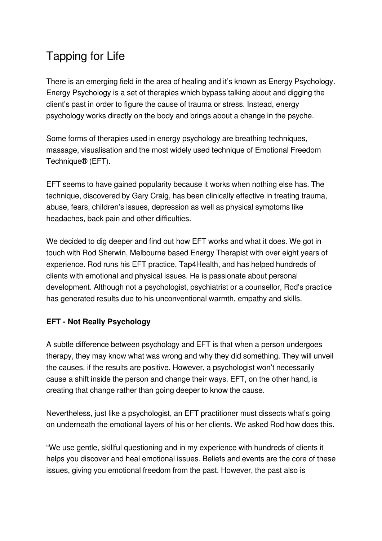# Tapping for Life

There is an emerging field in the area of healing and it's known as Energy Psychology. Energy Psychology is a set of therapies which bypass talking about and digging the client's past in order to figure the cause of trauma or stress. Instead, energy psychology works directly on the body and brings about a change in the psyche.

Some forms of therapies used in energy psychology are breathing techniques, massage, visualisation and the most widely used technique of Emotional Freedom Technique® (EFT).

EFT seems to have gained popularity because it works when nothing else has. The technique, discovered by Gary Craig, has been clinically effective in treating trauma, abuse, fears, children's issues, depression as well as physical symptoms like headaches, back pain and other difficulties.

We decided to dig deeper and find out how EFT works and what it does. We got in touch with Rod Sherwin, Melbourne based Energy Therapist with over eight years of experience. Rod runs his EFT practice, Tap4Health, and has helped hundreds of clients with emotional and physical issues. He is passionate about personal development. Although not a psychologist, psychiatrist or a counsellor, Rod's practice has generated results due to his unconventional warmth, empathy and skills.

# **EFT - Not Really Psychology**

A subtle difference between psychology and EFT is that when a person undergoes therapy, they may know what was wrong and why they did something. They will unveil the causes, if the results are positive. However, a psychologist won't necessarily cause a shift inside the person and change their ways. EFT, on the other hand, is creating that change rather than going deeper to know the cause.

Nevertheless, just like a psychologist, an EFT practitioner must dissects what's going on underneath the emotional layers of his or her clients. We asked Rod how does this.

"We use gentle, skillful questioning and in my experience with hundreds of clients it helps you discover and heal emotional issues. Beliefs and events are the core of these issues, giving you emotional freedom from the past. However, the past also is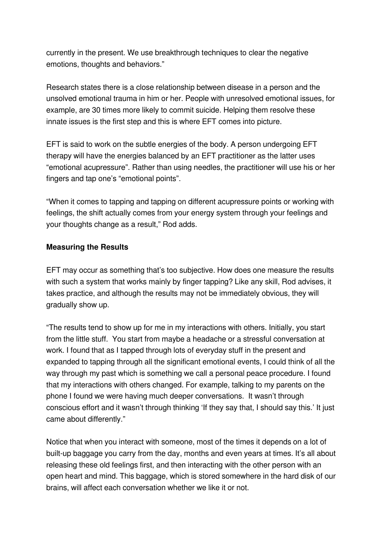currently in the present. We use breakthrough techniques to clear the negative emotions, thoughts and behaviors."

Research states there is a close relationship between disease in a person and the unsolved emotional trauma in him or her. People with unresolved emotional issues, for example, are 30 times more likely to commit suicide. Helping them resolve these innate issues is the first step and this is where EFT comes into picture.

EFT is said to work on the subtle energies of the body. A person undergoing EFT therapy will have the energies balanced by an EFT practitioner as the latter uses "emotional acupressure". Rather than using needles, the practitioner will use his or her fingers and tap one's "emotional points".

"When it comes to tapping and tapping on different acupressure points or working with feelings, the shift actually comes from your energy system through your feelings and your thoughts change as a result," Rod adds.

## **Measuring the Results**

EFT may occur as something that's too subjective. How does one measure the results with such a system that works mainly by finger tapping? Like any skill, Rod advises, it takes practice, and although the results may not be immediately obvious, they will gradually show up.

"The results tend to show up for me in my interactions with others. Initially, you start from the little stuff. You start from maybe a headache or a stressful conversation at work. I found that as I tapped through lots of everyday stuff in the present and expanded to tapping through all the significant emotional events, I could think of all the way through my past which is something we call a personal peace procedure. I found that my interactions with others changed. For example, talking to my parents on the phone I found we were having much deeper conversations. It wasn't through conscious effort and it wasn't through thinking 'If they say that, I should say this.' It just came about differently."

Notice that when you interact with someone, most of the times it depends on a lot of built-up baggage you carry from the day, months and even years at times. It's all about releasing these old feelings first, and then interacting with the other person with an open heart and mind. This baggage, which is stored somewhere in the hard disk of our brains, will affect each conversation whether we like it or not.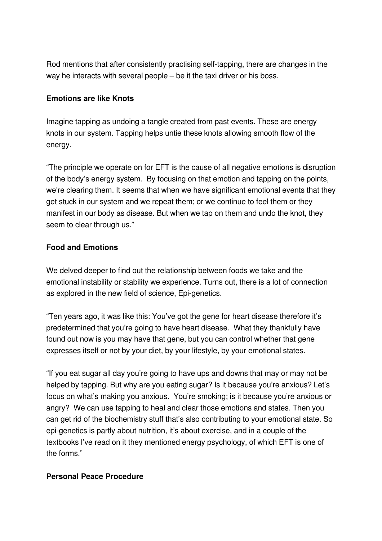Rod mentions that after consistently practising self-tapping, there are changes in the way he interacts with several people – be it the taxi driver or his boss.

## **Emotions are like Knots**

Imagine tapping as undoing a tangle created from past events. These are energy knots in our system. Tapping helps untie these knots allowing smooth flow of the energy.

"The principle we operate on for EFT is the cause of all negative emotions is disruption of the body's energy system. By focusing on that emotion and tapping on the points, we're clearing them. It seems that when we have significant emotional events that they get stuck in our system and we repeat them; or we continue to feel them or they manifest in our body as disease. But when we tap on them and undo the knot, they seem to clear through us."

## **Food and Emotions**

We delved deeper to find out the relationship between foods we take and the emotional instability or stability we experience. Turns out, there is a lot of connection as explored in the new field of science, Epi-genetics.

"Ten years ago, it was like this: You've got the gene for heart disease therefore it's predetermined that you're going to have heart disease. What they thankfully have found out now is you may have that gene, but you can control whether that gene expresses itself or not by your diet, by your lifestyle, by your emotional states.

"If you eat sugar all day you're going to have ups and downs that may or may not be helped by tapping. But why are you eating sugar? Is it because you're anxious? Let's focus on what's making you anxious. You're smoking; is it because you're anxious or angry? We can use tapping to heal and clear those emotions and states. Then you can get rid of the biochemistry stuff that's also contributing to your emotional state. So epi-genetics is partly about nutrition, it's about exercise, and in a couple of the textbooks I've read on it they mentioned energy psychology, of which EFT is one of the forms."

#### **Personal Peace Procedure**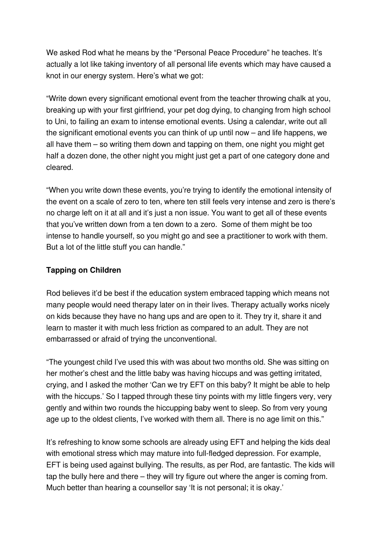We asked Rod what he means by the "Personal Peace Procedure" he teaches. It's actually a lot like taking inventory of all personal life events which may have caused a knot in our energy system. Here's what we got:

"Write down every significant emotional event from the teacher throwing chalk at you, breaking up with your first girlfriend, your pet dog dying, to changing from high school to Uni, to failing an exam to intense emotional events. Using a calendar, write out all the significant emotional events you can think of up until now – and life happens, we all have them – so writing them down and tapping on them, one night you might get half a dozen done, the other night you might just get a part of one category done and cleared.

"When you write down these events, you're trying to identify the emotional intensity of the event on a scale of zero to ten, where ten still feels very intense and zero is there's no charge left on it at all and it's just a non issue. You want to get all of these events that you've written down from a ten down to a zero. Some of them might be too intense to handle yourself, so you might go and see a practitioner to work with them. But a lot of the little stuff you can handle."

## **Tapping on Children**

Rod believes it'd be best if the education system embraced tapping which means not many people would need therapy later on in their lives. Therapy actually works nicely on kids because they have no hang ups and are open to it. They try it, share it and learn to master it with much less friction as compared to an adult. They are not embarrassed or afraid of trying the unconventional.

"The youngest child I've used this with was about two months old. She was sitting on her mother's chest and the little baby was having hiccups and was getting irritated, crying, and I asked the mother 'Can we try EFT on this baby? It might be able to help with the hiccups.' So I tapped through these tiny points with my little fingers very, very gently and within two rounds the hiccupping baby went to sleep. So from very young age up to the oldest clients, I've worked with them all. There is no age limit on this."

It's refreshing to know some schools are already using EFT and helping the kids deal with emotional stress which may mature into full-fledged depression. For example, EFT is being used against bullying. The results, as per Rod, are fantastic. The kids will tap the bully here and there – they will try figure out where the anger is coming from. Much better than hearing a counsellor say 'It is not personal; it is okay.'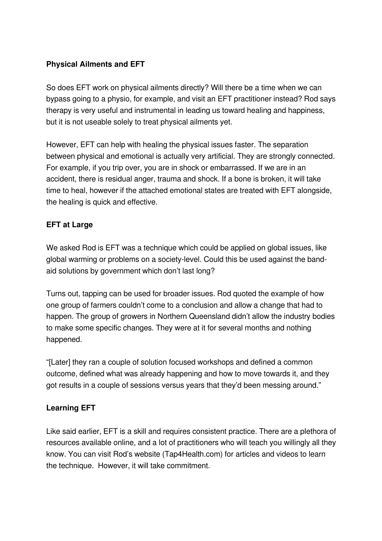# **Physical Ailments and EFT**

So does EFT work on physical ailments directly? Will there be a time when we can bypass going to a physio, for example, and visit an EFT practitioner instead? Rod says therapy is very useful and instrumental in leading us toward healing and happiness, but it is not useable solely to treat physical ailments yet.

However, EFT can help with healing the physical issues faster. The separation between physical and emotional is actually very artificial. They are strongly connected. For example, if you trip over, you are in shock or embarrassed. If we are in an accident, there is residual anger, trauma and shock. If a bone is broken, it will take time to heal, however if the attached emotional states are treated with EFT alongside, the healing is quick and effective.

# **EFT at Large**

We asked Rod is EFT was a technique which could be applied on global issues, like global warming or problems on a society-level. Could this be used against the bandaid solutions by government which don't last long?

Turns out, tapping can be used for broader issues. Rod quoted the example of how one group of farmers couldn't come to a conclusion and allow a change that had to happen. The group of growers in Northern Queensland didn't allow the industry bodies to make some specific changes. They were at it for several months and nothing happened.

"[Later] they ran a couple of solution focused workshops and defined a common outcome, defined what was already happening and how to move towards it, and they got results in a couple of sessions versus years that they'd been messing around."

## **Learning EFT**

Like said earlier, EFT is a skill and requires consistent practice. There are a plethora of resources available online, and a lot of practitioners who will teach you willingly all they know. You can visit Rod's website (Tap4Health.com) for articles and videos to learn the technique. However, it will take commitment.